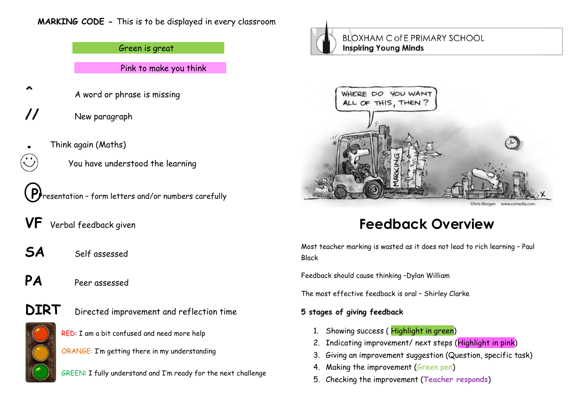## **MARKING CODE -** This is to be displayed in every classroom

Green is great Pink to make you think

A word or phrase is missing

**//** New paragraph

**^**

- **.** Think again (Maths)
	- You have understood the learning
- **P**Presentation form letters and/or numbers carefully
- **VF** Verbal feedback given
- **SA** Self assessed
- **PA** Peer assessed
- 
- **DIRT** Directed improvement and reflection time
	- RED: I am a bit confused and need more help
	- ORANGE: I'm getting there in my understanding
	- GREEN: I fully understand and I'm ready for the next challenge



**BLOXHAM C of E PRIMARY SCHOOL Inspiring Young Minds** 



# **Feedback Overview**

Most teacher marking is wasted as it does not lead to rich learning – Paul Black

Feedback should cause thinking –Dylan William

The most effective feedback is oral – Shirley Clarke

# **5 stages of giving feedback**

- 1. Showing success (Highlight in green)
- 2. Indicating improvement/ next steps (Highlight in pink)
- 3. Giving an improvement suggestion (Question, specific task)
- 4. Making the improvement (Green pen)
- 5. Checking the improvement (**Teacher responds**)